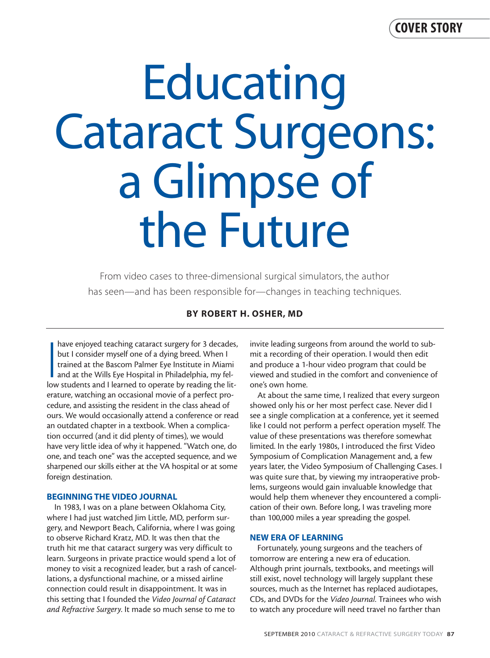# **Educating** Cataract Surgeons: a Glimpse of the Future

From video cases to three-dimensional surgical simulators, the author has seen—and has been responsible for—changes in teaching techniques.

# **BY ROBERT H. OSHER, MD**

have enjoyed teaching cataract surgery for 3 decades<br>but I consider myself one of a dying breed. When I<br>trained at the Bascom Palmer Eye Institute in Miami<br>and at the Wills Eye Hospital in Philadelphia, my fel-<br>low student have enjoyed teaching cataract surgery for 3 decades, but I consider myself one of a dying breed. When I trained at the Bascom Palmer Eye Institute in Miami and at the Wills Eye Hospital in Philadelphia, my felerature, watching an occasional movie of a perfect procedure, and assisting the resident in the class ahead of ours. We would occasionally attend a conference or read an outdated chapter in a textbook. When a complication occurred (and it did plenty of times), we would have very little idea of why it happened. "Watch one, do one, and teach one" was the accepted sequence, and we sharpened our skills either at the VA hospital or at some foreign destination.

#### **BEGINNING THE VIDEO JOURNAL**

In 1983, I was on a plane between Oklahoma City, where I had just watched Jim Little, MD, perform surgery, and Newport Beach, California, where I was going to observe Richard Kratz, MD. It was then that the truth hit me that cataract surgery was very difficult to learn. Surgeons in private practice would spend a lot of money to visit a recognized leader, but a rash of cancellations, a dysfunctional machine, or a missed airline connection could result in disappointment. It was in this setting that I founded the *Video Journal of Cataract and Refractive Surgery*. It made so much sense to me to

invite leading surgeons from around the world to submit a recording of their operation. I would then edit and produce a 1-hour video program that could be viewed and studied in the comfort and convenience of one's own home.

At about the same time, I realized that every surgeon showed only his or her most perfect case. Never did I see a single complication at a conference, yet it seemed like I could not perform a perfect operation myself. The value of these presentations was therefore somewhat limited. In the early 1980s, I introduced the first Video Symposium of Complication Management and, a few years later, the Video Symposium of Challenging Cases. I was quite sure that, by viewing my intraoperative problems, surgeons would gain invaluable knowledge that would help them whenever they encountered a complication of their own. Before long, I was traveling more than 100,000 miles a year spreading the gospel.

#### **NEW ERA OF LEARNING**

Fortunately, young surgeons and the teachers of tomorrow are entering a new era of education. Although print journals, textbooks, and meetings will still exist, novel technology will largely supplant these sources, much as the Internet has replaced audiotapes, CDs, and DVDs for the *Video Journal*. Trainees who wish to watch any procedure will need travel no farther than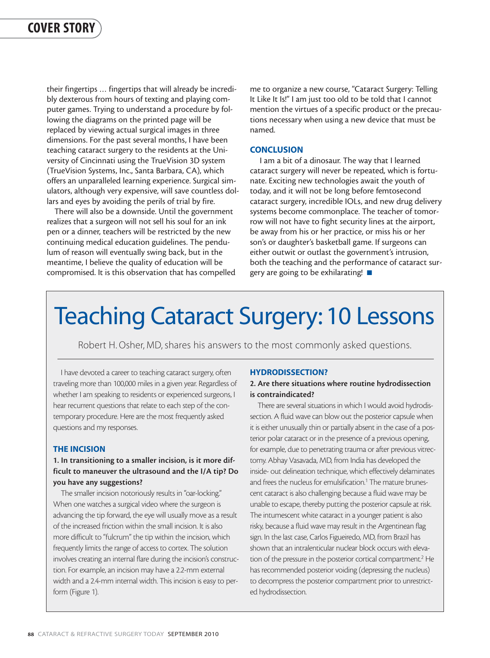their fingertips … fingertips that will already be incredibly dexterous from hours of texting and playing computer games. Trying to understand a procedure by following the diagrams on the printed page will be replaced by viewing actual surgical images in three dimensions. For the past several months, I have been teaching cataract surgery to the residents at the University of Cincinnati using the TrueVision 3D system (TrueVision Systems, Inc., Santa Barbara, CA), which offers an unparalleled learning experience. Surgical simulators, although very expensive, will save countless dollars and eyes by avoiding the perils of trial by fire.

There will also be a downside. Until the government realizes that a surgeon will not sell his soul for an ink pen or a dinner, teachers will be restricted by the new continuing medical education guidelines. The pendulum of reason will eventually swing back, but in the meantime, I believe the quality of education will be compromised. It is this observation that has compelled me to organize a new course, "Cataract Surgery: Telling It Like It Is!" I am just too old to be told that I cannot mention the virtues of a specific product or the precautions necessary when using a new device that must be named.

#### **CONCLUSION**

I am a bit of a dinosaur. The way that I learned cataract surgery will never be repeated, which is fortunate. Exciting new technologies await the youth of today, and it will not be long before femtosecond cataract surgery, incredible IOLs, and new drug delivery systems become commonplace. The teacher of tomorrow will not have to fight security lines at the airport, be away from his or her practice, or miss his or her son's or daughter's basketball game. If surgeons can either outwit or outlast the government's intrusion, both the teaching and the performance of cataract surgery are going to be exhilarating! ■

# Teaching Cataract Surgery: 10 Lessons

Robert H. Osher, MD, shares his answers to the most commonly asked questions.

I have devoted a career to teaching cataract surgery, often traveling more than 100,000 miles in a given year. Regardless of whether I am speaking to residents or experienced surgeons, I hear recurrent questions that relate to each step of the contemporary procedure. Here are the most frequently asked questions and my responses.

#### **THE INCISION**

# **1. In transitioning to a smaller incision, is it more difficult to maneuver the ultrasound and the I/A tip? Do you have any suggestions?**

The smaller incision notoriously results in "oar-locking." When one watches a surgical video where the surgeon is advancing the tip forward, the eye will usually move as a result of the increased friction within the small incision. It is also more difficult to "fulcrum" the tip within the incision, which frequently limits the range of access to cortex. The solution involves creating an internal flare during the incision's construction. For example, an incision may have a 2.2-mm external width and a 2.4-mm internal width. This incision is easy to perform (Figure 1).

#### **HYDRODISSECTION?**

#### **2. Are there situations where routine hydrodissection is contraindicated?**

There are several situations in which I would avoid hydrodissection. A fluid wave can blow out the posterior capsule when it is either unusually thin or partially absent in the case of a posterior polar cataract or in the presence of a previous opening, for example, due to penetrating trauma or after previous vitrectomy. Abhay Vasavada, MD, from India has developed the inside- out delineation technique, which effectively delaminates and frees the nucleus for emulsification.<sup>1</sup> The mature brunescent cataract is also challenging because a fluid wave may be unable to escape, thereby putting the posterior capsule at risk. The intumescent white cataract in a younger patient is also risky, because a fluid wave may result in the Argentinean flag sign. In the last case, Carlos Figueiredo, MD, from Brazil has shown that an intralenticular nuclear block occurs with elevation of the pressure in the posterior cortical compartment.2 He has recommended posterior voiding (depressing the nucleus) to decompress the posterior compartment prior to unrestricted hydrodissection.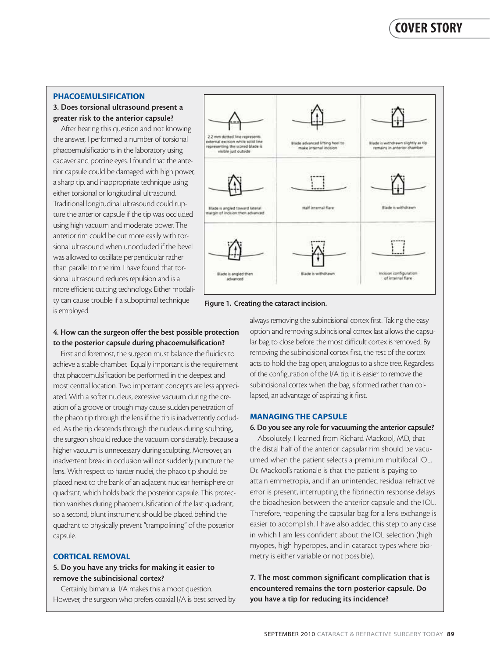#### **PHACOEMULSIFICATION**

#### **3. Does torsional ultrasound present a greater risk to the anterior capsule?**

After hearing this question and not knowing the answer, I performed a number of torsional phacoemulsifications in the laboratory using cadaver and porcine eyes. I found that the anterior capsule could be damaged with high power, a sharp tip, and inappropriate technique using either torsional or longitudinal ultrasound. Traditional longitudinal ultrasound could rupture the anterior capsule if the tip was occluded using high vacuum and moderate power. The anterior rim could be cut more easily with torsional ultrasound when unoccluded if the bevel was allowed to oscillate perpendicular rather than parallel to the rim. I have found that torsional ultrasound reduces repulsion and is a more efficient cutting technology. Either modality can cause trouble if a suboptimal technique is employed.



**Figure 1. Creating the cataract incision.**

# **4. How can the surgeon offer the best possible protection to the posterior capsule during phacoemulsification?**

First and foremost, the surgeon must balance the fluidics to achieve a stable chamber. Equally important is the requirement that phacoemulsification be performed in the deepest and most central location. Two important concepts are less appreciated. With a softer nucleus, excessive vacuum during the creation of a groove or trough may cause sudden penetration of the phaco tip through the lens if the tip is inadvertently occluded. As the tip descends through the nucleus during sculpting, the surgeon should reduce the vacuum considerably, because a higher vacuum is unnecessary during sculpting. Moreover, an inadvertent break in occlusion will not suddenly puncture the lens. With respect to harder nuclei, the phaco tip should be placed next to the bank of an adjacent nuclear hemisphere or quadrant, which holds back the posterior capsule. This protection vanishes during phacoemulsification of the last quadrant, so a second, blunt instrument should be placed behind the quadrant to physically prevent "trampolining" of the posterior capsule.

# **CORTICAL REMOVAL**

# **5. Do you have any tricks for making it easier to remove the subincisional cortex?**

Certainly, bimanual I/A makes this a moot question. However, the surgeon who prefers coaxial I/A is best served by always removing the subincisional cortex first. Taking the easy option and removing subincisional cortex last allows the capsular bag to close before the most difficult cortex is removed. By removing the subincisional cortex first, the rest of the cortex acts to hold the bag open, analogous to a shoe tree. Regardless of the configuration of the I/A tip, it is easier to remove the subincisional cortex when the bag is formed rather than collapsed, an advantage of aspirating it first.

#### **MANAGING THE CAPSULE**

#### **6. Do you see any role for vacuuming the anterior capsule?**

Absolutely. I learned from Richard Mackool, MD, that the distal half of the anterior capsular rim should be vacuumed when the patient selects a premium multifocal IOL. Dr. Mackool's rationale is that the patient is paying to attain emmetropia, and if an unintended residual refractive error is present, interrupting the fibrinectin response delays the bioadhesion between the anterior capsule and the IOL. Therefore, reopening the capsular bag for a lens exchange is easier to accomplish. I have also added this step to any case in which I am less confident about the IOL selection (high myopes, high hyperopes, and in cataract types where biometry is either variable or not possible).

**7. The most common significant complication that is encountered remains the torn posterior capsule. Do you have a tip for reducing its incidence?**